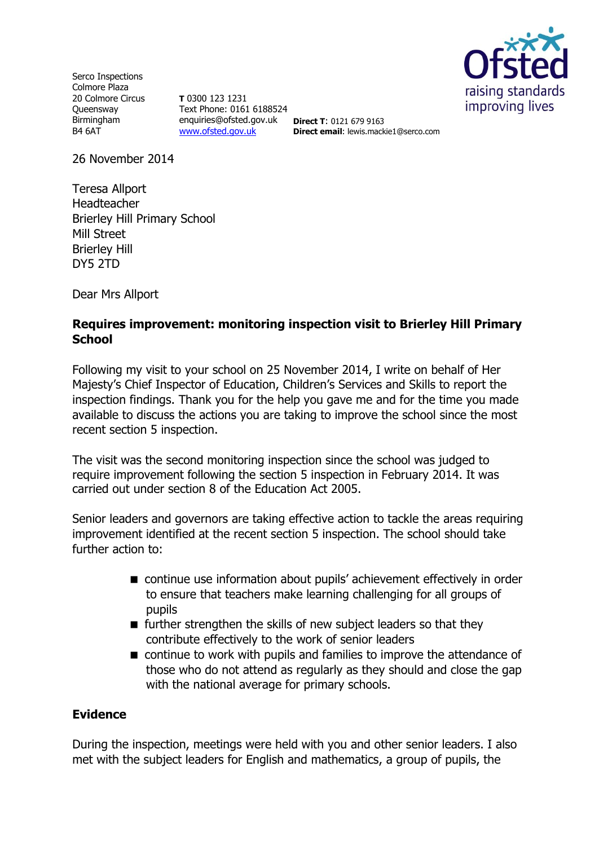

Serco Inspections Colmore Plaza 20 Colmore Circus **Oueensway** Birmingham B4 6AT

**T** 0300 123 1231 Text Phone: 0161 6188524 enquiries@ofsted.gov.uk **Direct T**: 0121 679 9163 [www.ofsted.gov.uk](http://www.ofsted.gov.uk/)

**Direct email**: lewis.mackie1@serco.com

26 November 2014

Teresa Allport Headteacher Brierley Hill Primary School Mill Street Brierley Hill DY5 2TD

Dear Mrs Allport

### **Requires improvement: monitoring inspection visit to Brierley Hill Primary School**

Following my visit to your school on 25 November 2014, I write on behalf of Her Majesty's Chief Inspector of Education, Children's Services and Skills to report the inspection findings. Thank you for the help you gave me and for the time you made available to discuss the actions you are taking to improve the school since the most recent section 5 inspection.

The visit was the second monitoring inspection since the school was judged to require improvement following the section 5 inspection in February 2014. It was carried out under section 8 of the Education Act 2005.

Senior leaders and governors are taking effective action to tackle the areas requiring improvement identified at the recent section 5 inspection. The school should take further action to:

- continue use information about pupils' achievement effectively in order to ensure that teachers make learning challenging for all groups of pupils
- **further strengthen the skills of new subject leaders so that they** contribute effectively to the work of senior leaders
- continue to work with pupils and families to improve the attendance of those who do not attend as regularly as they should and close the gap with the national average for primary schools.

#### **Evidence**

During the inspection, meetings were held with you and other senior leaders. I also met with the subject leaders for English and mathematics, a group of pupils, the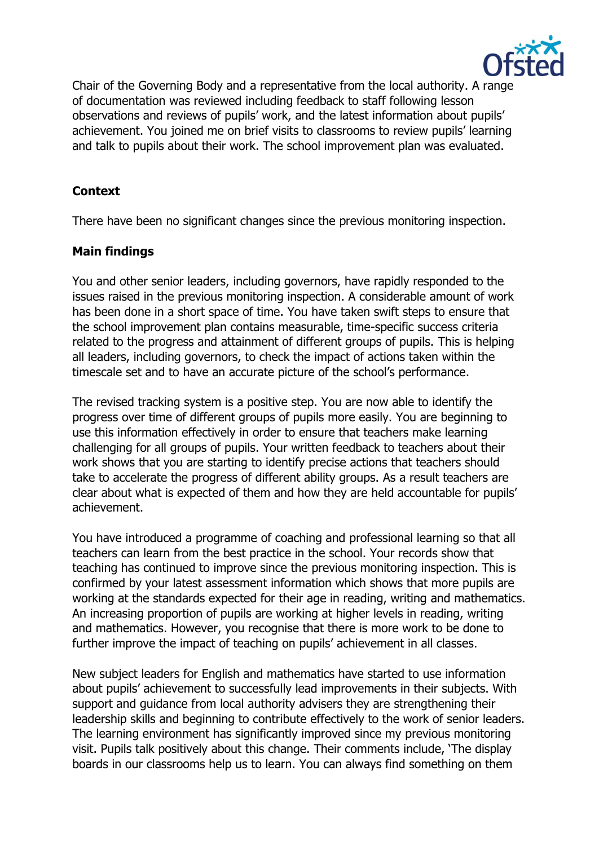

Chair of the Governing Body and a representative from the local authority. A range of documentation was reviewed including feedback to staff following lesson observations and reviews of pupils' work, and the latest information about pupils' achievement. You joined me on brief visits to classrooms to review pupils' learning and talk to pupils about their work. The school improvement plan was evaluated.

# **Context**

There have been no significant changes since the previous monitoring inspection.

# **Main findings**

You and other senior leaders, including governors, have rapidly responded to the issues raised in the previous monitoring inspection. A considerable amount of work has been done in a short space of time. You have taken swift steps to ensure that the school improvement plan contains measurable, time-specific success criteria related to the progress and attainment of different groups of pupils. This is helping all leaders, including governors, to check the impact of actions taken within the timescale set and to have an accurate picture of the school's performance.

The revised tracking system is a positive step. You are now able to identify the progress over time of different groups of pupils more easily. You are beginning to use this information effectively in order to ensure that teachers make learning challenging for all groups of pupils. Your written feedback to teachers about their work shows that you are starting to identify precise actions that teachers should take to accelerate the progress of different ability groups. As a result teachers are clear about what is expected of them and how they are held accountable for pupils' achievement.

You have introduced a programme of coaching and professional learning so that all teachers can learn from the best practice in the school. Your records show that teaching has continued to improve since the previous monitoring inspection. This is confirmed by your latest assessment information which shows that more pupils are working at the standards expected for their age in reading, writing and mathematics. An increasing proportion of pupils are working at higher levels in reading, writing and mathematics. However, you recognise that there is more work to be done to further improve the impact of teaching on pupils' achievement in all classes.

New subject leaders for English and mathematics have started to use information about pupils' achievement to successfully lead improvements in their subjects. With support and guidance from local authority advisers they are strengthening their leadership skills and beginning to contribute effectively to the work of senior leaders. The learning environment has significantly improved since my previous monitoring visit. Pupils talk positively about this change. Their comments include, 'The display boards in our classrooms help us to learn. You can always find something on them